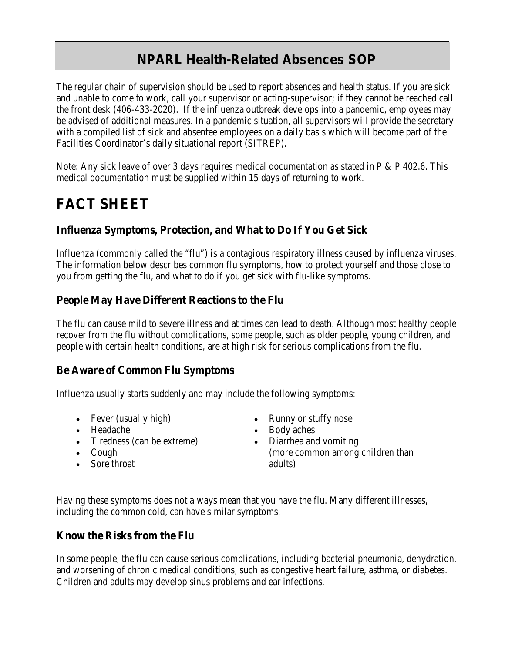# **NPARL Health-Related Absences SOP**

The regular chain of supervision should be used to report absences and health status. If you are sick and unable to come to work, call your supervisor or acting-supervisor; if they cannot be reached call the front desk (406-433-2020). If the influenza outbreak develops into a pandemic, employees may be advised of additional measures. In a pandemic situation, all supervisors will provide the secretary with a compiled list of sick and absentee employees on a daily basis which will become part of the Facilities Coordinator's daily situational report (SITREP).

Note: Any sick leave of over 3 days requires medical documentation as stated in P & P 402.6. This medical documentation must be supplied within 15 days of returning to work.

# **FACT SHEET**

# **Influenza Symptoms, Protection, and What to Do If You Get Sick**

Influenza (commonly called the "flu") is a contagious respiratory illness caused by influenza viruses. The information below describes common flu symptoms, how to protect yourself and those close to you from getting the flu, and what to do if you get sick with flu-like symptoms.

#### **People May Have Different Reactions to the Flu**

The flu can cause mild to severe illness and at times can lead to death. Although most healthy people recover from the flu without complications, some people, such as older people, young children, and people with certain health conditions, are at high risk for serious complications from the flu.

#### **Be Aware of Common Flu Symptoms**

Influenza usually starts suddenly and may include the following symptoms:

- Fever (usually high)
- Headache
- Tiredness (can be extreme)
- Cough
- Sore throat
- Runny or stuffy nose
- Body aches
- Diarrhea and vomiting (more common among children than adults)

Having these symptoms does not always mean that you have the flu. Many different illnesses, including the common cold, can have similar symptoms.

#### **Know the Risks from the Flu**

In some people, the flu can cause serious complications, including bacterial pneumonia, dehydration, and worsening of chronic medical conditions, such as congestive heart failure, asthma, or diabetes. Children and adults may develop sinus problems and ear infections.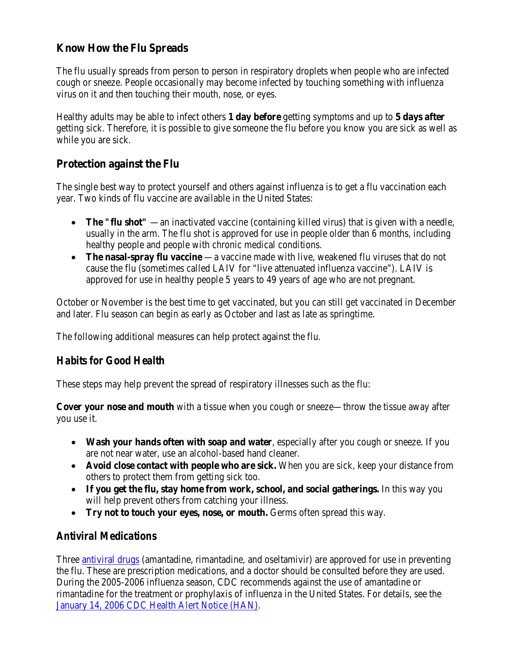# **Know How the Flu Spreads**

The flu usually spreads from person to person in respiratory droplets when people who are infected cough or sneeze. People occasionally may become infected by touching something with influenza virus on it and then touching their mouth, nose, or eyes.

Healthy adults may be able to infect others **1 day before** getting symptoms and up to **5 days after**  getting sick. Therefore, it is possible to give someone the flu before you know you are sick as well as while you are sick.

#### **Protection against the Flu**

The single best way to protect yourself and others against influenza is to get a flu vaccination each year. Two kinds of flu vaccine are available in the United States:

- **The "flu shot"** —an inactivated vaccine (containing killed virus) that is given with a needle, usually in the arm. The flu shot is approved for use in people older than 6 months, including healthy people and people with chronic medical conditions.
- **The nasal-spray flu vaccine** —a vaccine made with live, weakened flu viruses that do not cause the flu (sometimes called LAIV for "live attenuated influenza vaccine"). LAIV is approved for use in healthy people 5 years to 49 years of age who are not pregnant.

October or November is the best time to get vaccinated, but you can still get vaccinated in December and later. Flu season can begin as early as October and last as late as springtime.

The following additional measures can help protect against the flu.

# *Habits for Good Health*

These steps may help prevent the spread of respiratory illnesses such as the flu:

**Cover your nose and mouth** with a tissue when you cough or sneeze—throw the tissue away after you use it.

- **Wash your hands often with soap and water**, especially after you cough or sneeze. If you are not near water, use an alcohol-based hand cleaner.
- **Avoid close contact with people who are sick.** When you are sick, keep your distance from others to protect them from getting sick too.
- **If you get the flu, stay home from work, school, and social gatherings.** In this way you will help prevent others from catching your illness.
- **Try not to touch your eyes, nose, or mouth.** Germs often spread this way.

# *Antiviral Medications*

Three **antiviral drugs** (amantadine, rimantadine, and oseltamivir) are approved for use in preventing the flu. These are prescription medications, and a doctor should be consulted before they are used. During the 2005-2006 influenza season, CDC recommends against the use of amantadine or rimantadine for the treatment or prophylaxis of influenza in the United States. For details, see the [January 14, 2006 CDC Health Alert Notice \(HAN\).](http://www.cdc.gov/flu/han011406.htm)